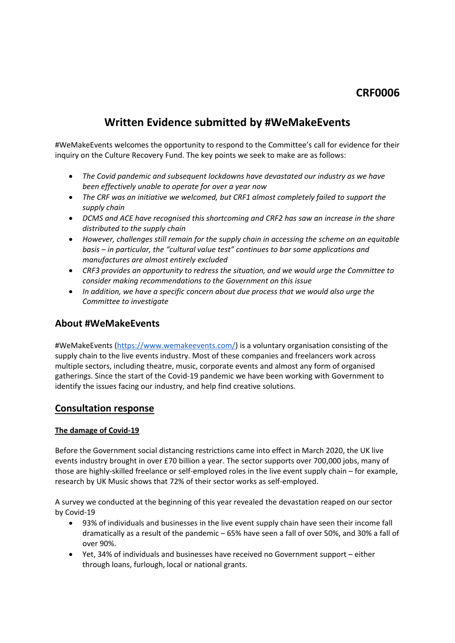# **CRF0006**

# **Written Evidence submitted by #WeMakeEvents**

#WeMakeEvents welcomes the opportunity to respond to the Committee's call for evidence for their inquiry on the Culture Recovery Fund. The key points we seek to make are as follows:

- *The Covid pandemic and subsequent lockdowns have devastated our industry as we have been effectively unable to operate for over a year now*
- *The CRF was an initiative we welcomed, but CRF1 almost completely failed to support the supply chain*
- *DCMS and ACE have recognised this shortcoming and CRF2 has saw an increase in the share distributed to the supply chain*
- *However, challenges still remain for the supply chain in accessing the scheme on an equitable basis – in particular, the "cultural value test" continues to bar some applications and manufactures are almost entirely excluded*
- *CRF3 provides an opportunity to redress the situation, and we would urge the Committee to consider making recommendations to the Government on this issue*
- *In addition, we have a specific concern about due process that we would also urge the Committee to investigate*

## **About #WeMakeEvents**

#WeMakeEvents [\(https://www.wemakeevents.com/](https://www.wemakeevents.com/)) is a voluntary organisation consisting of the supply chain to the live events industry. Most of these companies and freelancers work across multiple sectors, including theatre, music, corporate events and almost any form of organised gatherings. Since the start of the Covid-19 pandemic we have been working with Government to identify the issues facing our industry, and help find creative solutions.

### **Consultation response**

#### **The damage of Covid-19**

Before the Government social distancing restrictions came into effect in March 2020, the UK live events industry brought in over £70 billion a year. The sector supports over 700,000 jobs, many of those are highly-skilled freelance or self-employed roles in the live event supply chain – for example, research by UK Music shows that 72% of their sector works as self-employed.

A survey we conducted at the beginning of this year revealed the devastation reaped on our sector by Covid-19

- 93% of individuals and businesses in the live event supply chain have seen their income fall dramatically as a result of the pandemic – 65% have seen a fall of over 50%, and 30% a fall of over 90%.
- Yet, 34% of individuals and businesses have received no Government support either through loans, furlough, local or national grants.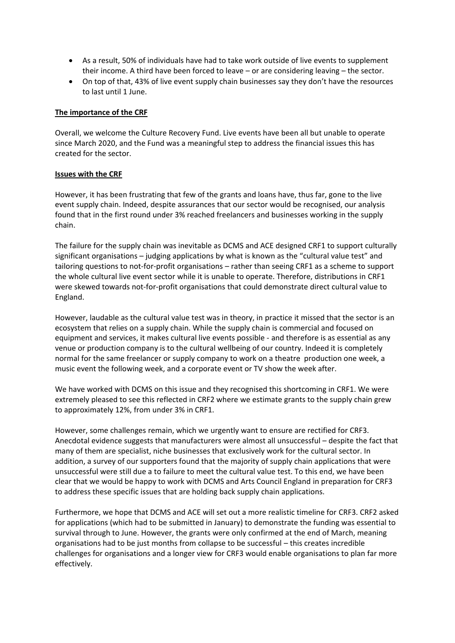- As a result, 50% of individuals have had to take work outside of live events to supplement their income. A third have been forced to leave – or are considering leaving – the sector.
- On top of that, 43% of live event supply chain businesses say they don't have the resources to last until 1 June.

#### **The importance of the CRF**

Overall, we welcome the Culture Recovery Fund. Live events have been all but unable to operate since March 2020, and the Fund was a meaningful step to address the financial issues this has created for the sector.

#### **Issues with the CRF**

However, it has been frustrating that few of the grants and loans have, thus far, gone to the live event supply chain. Indeed, despite assurances that our sector would be recognised, our analysis found that in the first round under 3% reached freelancers and businesses working in the supply chain.

The failure for the supply chain was inevitable as DCMS and ACE designed CRF1 to support culturally significant organisations – judging applications by what is known as the "cultural value test" and tailoring questions to not-for-profit organisations – rather than seeing CRF1 as a scheme to support the whole cultural live event sector while it is unable to operate. Therefore, distributions in CRF1 were skewed towards not-for-profit organisations that could demonstrate direct cultural value to England.

However, laudable as the cultural value test was in theory, in practice it missed that the sector is an ecosystem that relies on a supply chain. While the supply chain is commercial and focused on equipment and services, it makes cultural live events possible - and therefore is as essential as any venue or production company is to the cultural wellbeing of our country. Indeed it is completely normal for the same freelancer or supply company to work on a theatre production one week, a music event the following week, and a corporate event or TV show the week after.

We have worked with DCMS on this issue and they recognised this shortcoming in CRF1. We were extremely pleased to see this reflected in CRF2 where we estimate grants to the supply chain grew to approximately 12%, from under 3% in CRF1.

However, some challenges remain, which we urgently want to ensure are rectified for CRF3. Anecdotal evidence suggests that manufacturers were almost all unsuccessful – despite the fact that many of them are specialist, niche businesses that exclusively work for the cultural sector. In addition, a survey of our supporters found that the majority of supply chain applications that were unsuccessful were still due a to failure to meet the cultural value test. To this end, we have been clear that we would be happy to work with DCMS and Arts Council England in preparation for CRF3 to address these specific issues that are holding back supply chain applications.

Furthermore, we hope that DCMS and ACE will set out a more realistic timeline for CRF3. CRF2 asked for applications (which had to be submitted in January) to demonstrate the funding was essential to survival through to June. However, the grants were only confirmed at the end of March, meaning organisations had to be just months from collapse to be successful – this creates incredible challenges for organisations and a longer view for CRF3 would enable organisations to plan far more effectively.